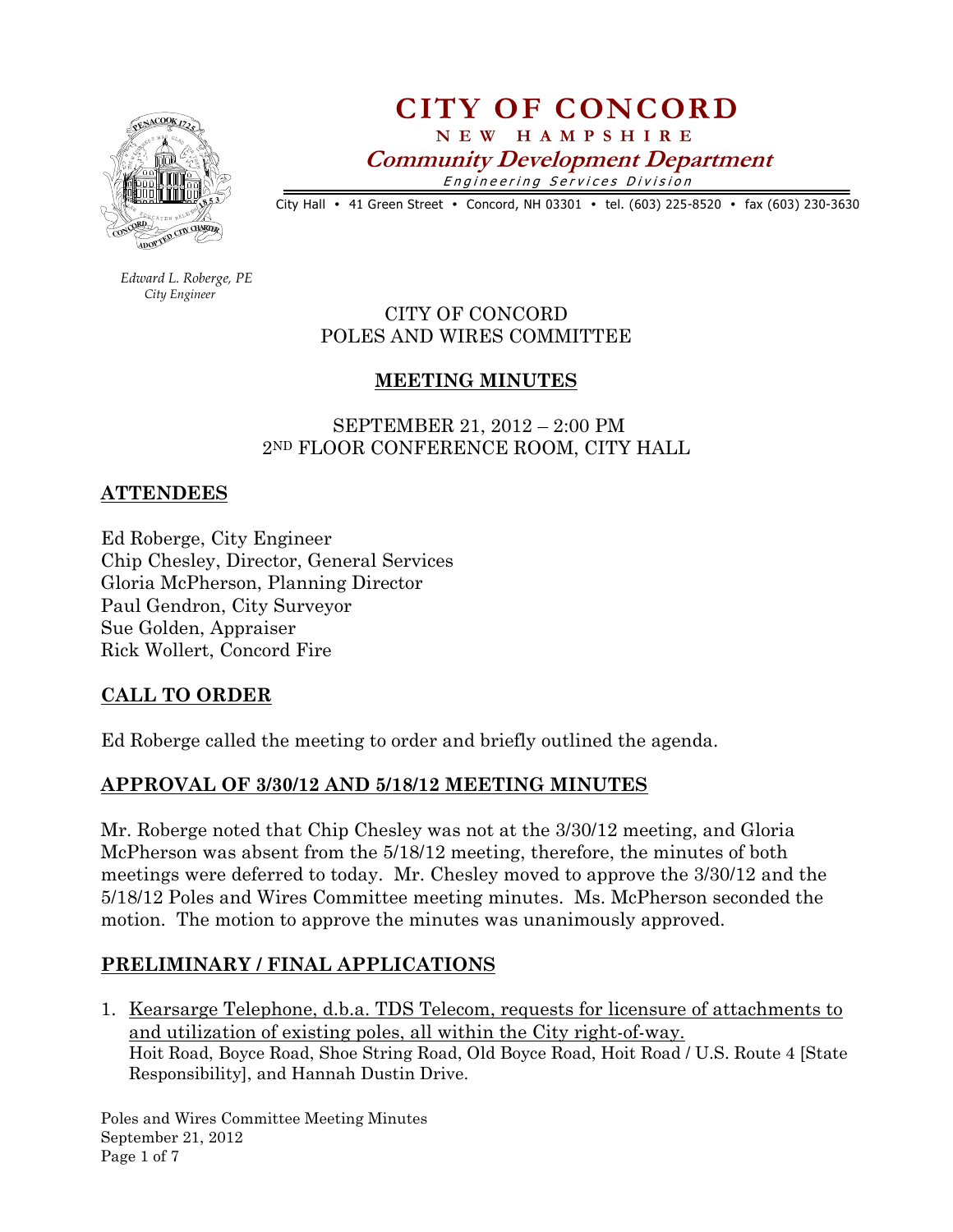

CITY OF CONCORD N E W H A M P S H I R E

Community Development Department

Engineering Services Division

City Hall • 41 Green Street • Concord, NH 03301 • tel. (603) 225-8520 • fax (603) 230-3630

 Edward L. Roberge, PE City Engineer

CITY OF CONCORD POLES AND WIRES COMMITTEE

# MEETING MINUTES

 SEPTEMBER 21, 2012 – 2:00 PM 2ND FLOOR CONFERENCE ROOM, CITY HALL

### **ATTENDEES**

Ed Roberge, City Engineer Chip Chesley, Director, General Services Gloria McPherson, Planning Director Paul Gendron, City Surveyor Sue Golden, Appraiser Rick Wollert, Concord Fire

### CALL TO ORDER

Ed Roberge called the meeting to order and briefly outlined the agenda.

# APPROVAL OF 3/30/12 AND 5/18/12 MEETING MINUTES

Mr. Roberge noted that Chip Chesley was not at the 3/30/12 meeting, and Gloria McPherson was absent from the 5/18/12 meeting, therefore, the minutes of both meetings were deferred to today. Mr. Chesley moved to approve the 3/30/12 and the 5/18/12 Poles and Wires Committee meeting minutes. Ms. McPherson seconded the motion. The motion to approve the minutes was unanimously approved.

# PRELIMINARY / FINAL APPLICATIONS

1. Kearsarge Telephone, d.b.a. TDS Telecom, requests for licensure of attachments to and utilization of existing poles, all within the City right-of-way. Hoit Road, Boyce Road, Shoe String Road, Old Boyce Road, Hoit Road / U.S. Route 4 [State Responsibility], and Hannah Dustin Drive.

Poles and Wires Committee Meeting Minutes September 21, 2012 Page 1 of 7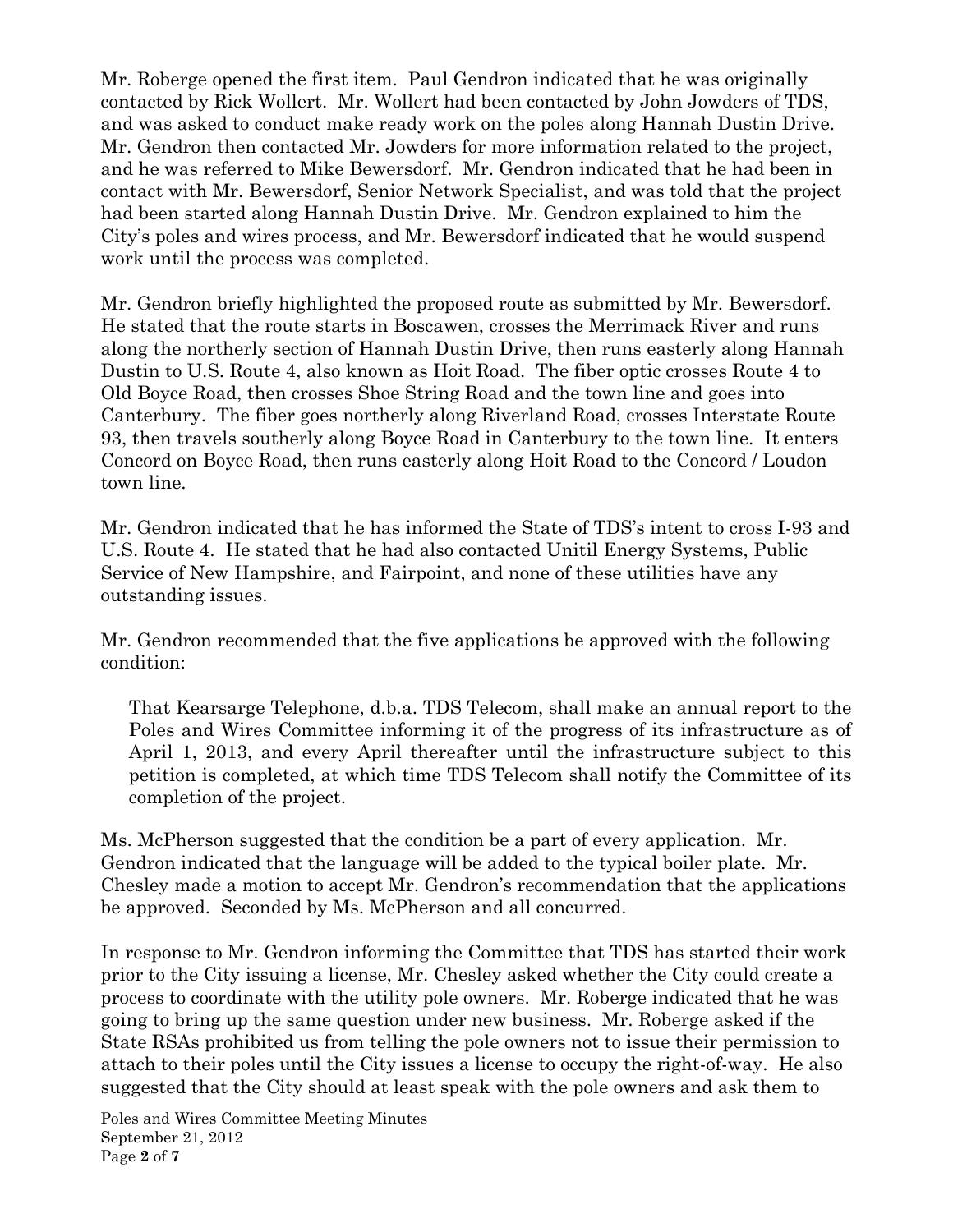Mr. Roberge opened the first item. Paul Gendron indicated that he was originally contacted by Rick Wollert. Mr. Wollert had been contacted by John Jowders of TDS, and was asked to conduct make ready work on the poles along Hannah Dustin Drive. Mr. Gendron then contacted Mr. Jowders for more information related to the project, and he was referred to Mike Bewersdorf. Mr. Gendron indicated that he had been in contact with Mr. Bewersdorf, Senior Network Specialist, and was told that the project had been started along Hannah Dustin Drive. Mr. Gendron explained to him the City's poles and wires process, and Mr. Bewersdorf indicated that he would suspend work until the process was completed.

Mr. Gendron briefly highlighted the proposed route as submitted by Mr. Bewersdorf. He stated that the route starts in Boscawen, crosses the Merrimack River and runs along the northerly section of Hannah Dustin Drive, then runs easterly along Hannah Dustin to U.S. Route 4, also known as Hoit Road. The fiber optic crosses Route 4 to Old Boyce Road, then crosses Shoe String Road and the town line and goes into Canterbury. The fiber goes northerly along Riverland Road, crosses Interstate Route 93, then travels southerly along Boyce Road in Canterbury to the town line. It enters Concord on Boyce Road, then runs easterly along Hoit Road to the Concord / Loudon town line.

Mr. Gendron indicated that he has informed the State of TDS's intent to cross I-93 and U.S. Route 4. He stated that he had also contacted Unitil Energy Systems, Public Service of New Hampshire, and Fairpoint, and none of these utilities have any outstanding issues.

Mr. Gendron recommended that the five applications be approved with the following condition:

That Kearsarge Telephone, d.b.a. TDS Telecom, shall make an annual report to the Poles and Wires Committee informing it of the progress of its infrastructure as of April 1, 2013, and every April thereafter until the infrastructure subject to this petition is completed, at which time TDS Telecom shall notify the Committee of its completion of the project.

Ms. McPherson suggested that the condition be a part of every application. Mr. Gendron indicated that the language will be added to the typical boiler plate. Mr. Chesley made a motion to accept Mr. Gendron's recommendation that the applications be approved. Seconded by Ms. McPherson and all concurred.

In response to Mr. Gendron informing the Committee that TDS has started their work prior to the City issuing a license, Mr. Chesley asked whether the City could create a process to coordinate with the utility pole owners. Mr. Roberge indicated that he was going to bring up the same question under new business. Mr. Roberge asked if the State RSAs prohibited us from telling the pole owners not to issue their permission to attach to their poles until the City issues a license to occupy the right-of-way. He also suggested that the City should at least speak with the pole owners and ask them to

Poles and Wires Committee Meeting Minutes September 21, 2012 Page 2 of 7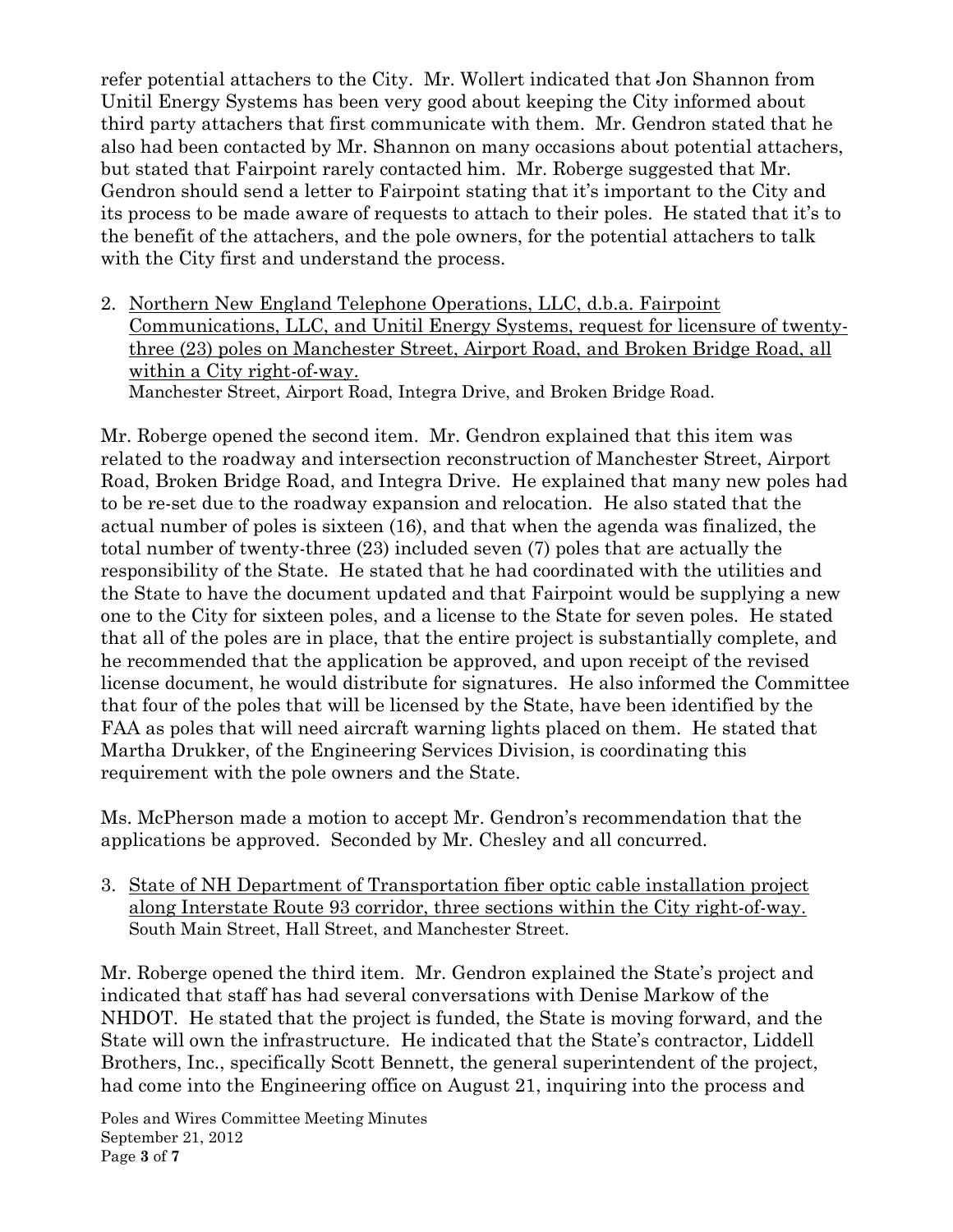refer potential attachers to the City. Mr. Wollert indicated that Jon Shannon from Unitil Energy Systems has been very good about keeping the City informed about third party attachers that first communicate with them. Mr. Gendron stated that he also had been contacted by Mr. Shannon on many occasions about potential attachers, but stated that Fairpoint rarely contacted him. Mr. Roberge suggested that Mr. Gendron should send a letter to Fairpoint stating that it's important to the City and its process to be made aware of requests to attach to their poles. He stated that it's to the benefit of the attachers, and the pole owners, for the potential attachers to talk with the City first and understand the process.

2. Northern New England Telephone Operations, LLC, d.b.a. Fairpoint Communications, LLC, and Unitil Energy Systems, request for licensure of twentythree (23) poles on Manchester Street, Airport Road, and Broken Bridge Road, all within a City right-of-way. Manchester Street, Airport Road, Integra Drive, and Broken Bridge Road.

Mr. Roberge opened the second item. Mr. Gendron explained that this item was related to the roadway and intersection reconstruction of Manchester Street, Airport Road, Broken Bridge Road, and Integra Drive. He explained that many new poles had to be re-set due to the roadway expansion and relocation. He also stated that the actual number of poles is sixteen (16), and that when the agenda was finalized, the total number of twenty-three (23) included seven (7) poles that are actually the responsibility of the State. He stated that he had coordinated with the utilities and the State to have the document updated and that Fairpoint would be supplying a new one to the City for sixteen poles, and a license to the State for seven poles. He stated that all of the poles are in place, that the entire project is substantially complete, and he recommended that the application be approved, and upon receipt of the revised license document, he would distribute for signatures. He also informed the Committee that four of the poles that will be licensed by the State, have been identified by the FAA as poles that will need aircraft warning lights placed on them. He stated that Martha Drukker, of the Engineering Services Division, is coordinating this requirement with the pole owners and the State.

Ms. McPherson made a motion to accept Mr. Gendron's recommendation that the applications be approved. Seconded by Mr. Chesley and all concurred.

3. State of NH Department of Transportation fiber optic cable installation project along Interstate Route 93 corridor, three sections within the City right-of-way. South Main Street, Hall Street, and Manchester Street.

Mr. Roberge opened the third item. Mr. Gendron explained the State's project and indicated that staff has had several conversations with Denise Markow of the NHDOT. He stated that the project is funded, the State is moving forward, and the State will own the infrastructure. He indicated that the State's contractor, Liddell Brothers, Inc., specifically Scott Bennett, the general superintendent of the project, had come into the Engineering office on August 21, inquiring into the process and

Poles and Wires Committee Meeting Minutes September 21, 2012 Page 3 of 7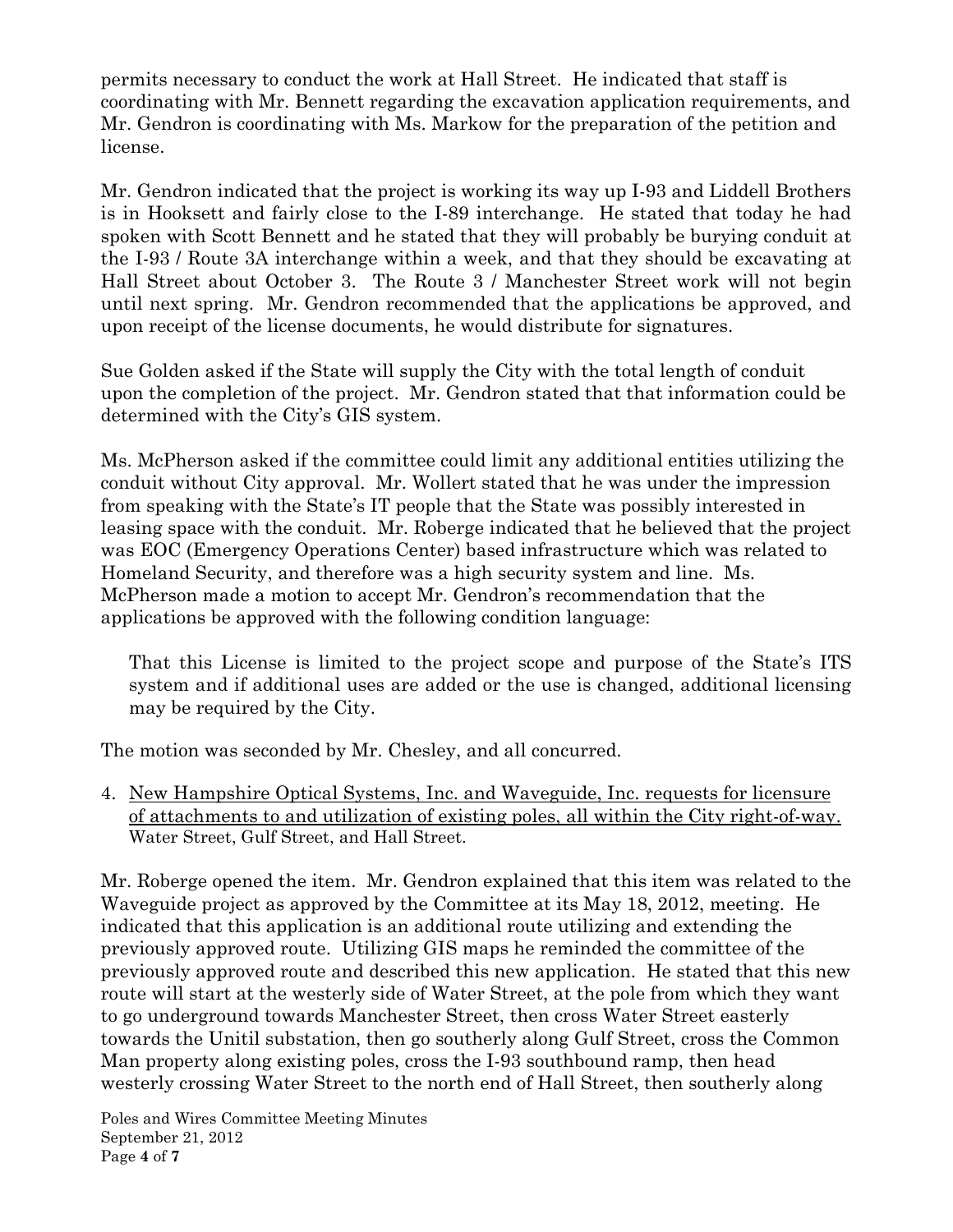permits necessary to conduct the work at Hall Street. He indicated that staff is coordinating with Mr. Bennett regarding the excavation application requirements, and Mr. Gendron is coordinating with Ms. Markow for the preparation of the petition and license.

Mr. Gendron indicated that the project is working its way up I-93 and Liddell Brothers is in Hooksett and fairly close to the I-89 interchange. He stated that today he had spoken with Scott Bennett and he stated that they will probably be burying conduit at the I-93 / Route 3A interchange within a week, and that they should be excavating at Hall Street about October 3. The Route 3 / Manchester Street work will not begin until next spring. Mr. Gendron recommended that the applications be approved, and upon receipt of the license documents, he would distribute for signatures.

Sue Golden asked if the State will supply the City with the total length of conduit upon the completion of the project. Mr. Gendron stated that that information could be determined with the City's GIS system.

Ms. McPherson asked if the committee could limit any additional entities utilizing the conduit without City approval. Mr. Wollert stated that he was under the impression from speaking with the State's IT people that the State was possibly interested in leasing space with the conduit. Mr. Roberge indicated that he believed that the project was EOC (Emergency Operations Center) based infrastructure which was related to Homeland Security, and therefore was a high security system and line. Ms. McPherson made a motion to accept Mr. Gendron's recommendation that the applications be approved with the following condition language:

That this License is limited to the project scope and purpose of the State's ITS system and if additional uses are added or the use is changed, additional licensing may be required by the City.

The motion was seconded by Mr. Chesley, and all concurred.

4. New Hampshire Optical Systems, Inc. and Waveguide, Inc. requests for licensure of attachments to and utilization of existing poles, all within the City right-of-way. Water Street, Gulf Street, and Hall Street.

Mr. Roberge opened the item. Mr. Gendron explained that this item was related to the Waveguide project as approved by the Committee at its May 18, 2012, meeting. He indicated that this application is an additional route utilizing and extending the previously approved route. Utilizing GIS maps he reminded the committee of the previously approved route and described this new application. He stated that this new route will start at the westerly side of Water Street, at the pole from which they want to go underground towards Manchester Street, then cross Water Street easterly towards the Unitil substation, then go southerly along Gulf Street, cross the Common Man property along existing poles, cross the I-93 southbound ramp, then head westerly crossing Water Street to the north end of Hall Street, then southerly along

Poles and Wires Committee Meeting Minutes September 21, 2012 Page 4 of 7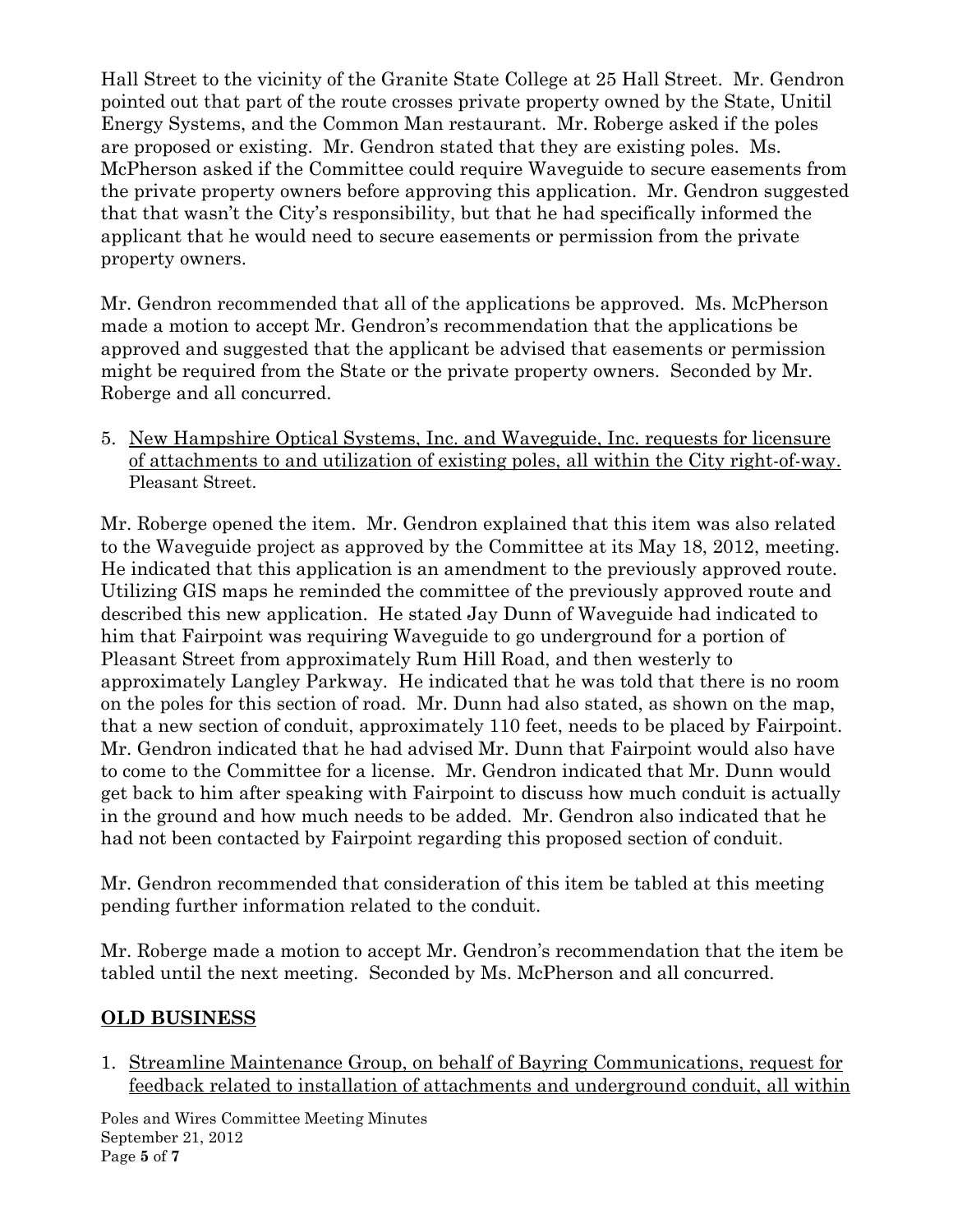Hall Street to the vicinity of the Granite State College at 25 Hall Street. Mr. Gendron pointed out that part of the route crosses private property owned by the State, Unitil Energy Systems, and the Common Man restaurant. Mr. Roberge asked if the poles are proposed or existing. Mr. Gendron stated that they are existing poles. Ms. McPherson asked if the Committee could require Waveguide to secure easements from the private property owners before approving this application. Mr. Gendron suggested that that wasn't the City's responsibility, but that he had specifically informed the applicant that he would need to secure easements or permission from the private property owners.

Mr. Gendron recommended that all of the applications be approved. Ms. McPherson made a motion to accept Mr. Gendron's recommendation that the applications be approved and suggested that the applicant be advised that easements or permission might be required from the State or the private property owners. Seconded by Mr. Roberge and all concurred.

5. New Hampshire Optical Systems, Inc. and Waveguide, Inc. requests for licensure of attachments to and utilization of existing poles, all within the City right-of-way. Pleasant Street.

Mr. Roberge opened the item. Mr. Gendron explained that this item was also related to the Waveguide project as approved by the Committee at its May 18, 2012, meeting. He indicated that this application is an amendment to the previously approved route. Utilizing GIS maps he reminded the committee of the previously approved route and described this new application. He stated Jay Dunn of Waveguide had indicated to him that Fairpoint was requiring Waveguide to go underground for a portion of Pleasant Street from approximately Rum Hill Road, and then westerly to approximately Langley Parkway. He indicated that he was told that there is no room on the poles for this section of road. Mr. Dunn had also stated, as shown on the map, that a new section of conduit, approximately 110 feet, needs to be placed by Fairpoint. Mr. Gendron indicated that he had advised Mr. Dunn that Fairpoint would also have to come to the Committee for a license. Mr. Gendron indicated that Mr. Dunn would get back to him after speaking with Fairpoint to discuss how much conduit is actually in the ground and how much needs to be added. Mr. Gendron also indicated that he had not been contacted by Fairpoint regarding this proposed section of conduit.

Mr. Gendron recommended that consideration of this item be tabled at this meeting pending further information related to the conduit.

Mr. Roberge made a motion to accept Mr. Gendron's recommendation that the item be tabled until the next meeting. Seconded by Ms. McPherson and all concurred.

# OLD BUSINESS

1. Streamline Maintenance Group, on behalf of Bayring Communications, request for feedback related to installation of attachments and underground conduit, all within

Poles and Wires Committee Meeting Minutes September 21, 2012 Page 5 of 7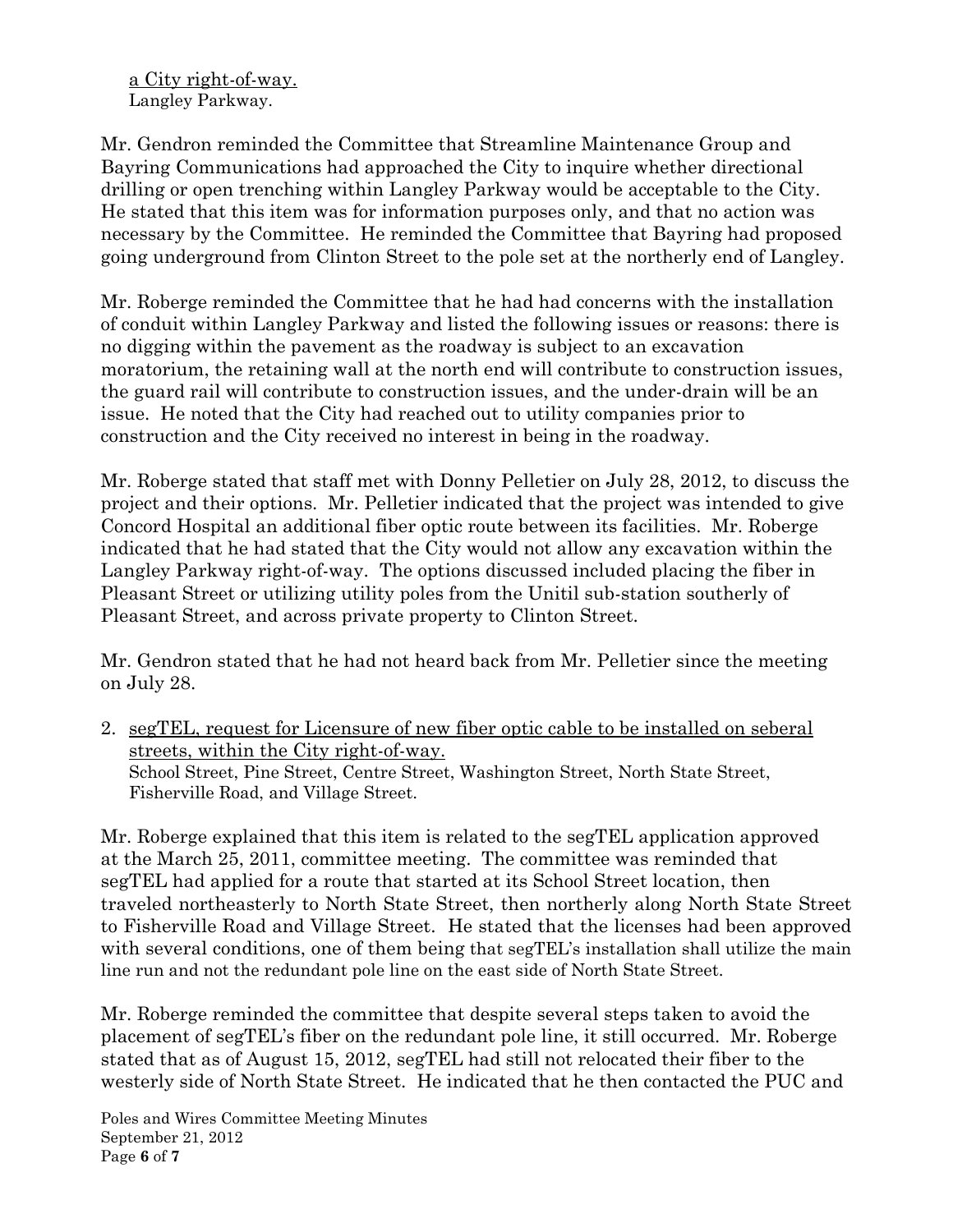a City right-of-way. Langley Parkway.

Mr. Gendron reminded the Committee that Streamline Maintenance Group and Bayring Communications had approached the City to inquire whether directional drilling or open trenching within Langley Parkway would be acceptable to the City. He stated that this item was for information purposes only, and that no action was necessary by the Committee. He reminded the Committee that Bayring had proposed going underground from Clinton Street to the pole set at the northerly end of Langley.

Mr. Roberge reminded the Committee that he had had concerns with the installation of conduit within Langley Parkway and listed the following issues or reasons: there is no digging within the pavement as the roadway is subject to an excavation moratorium, the retaining wall at the north end will contribute to construction issues, the guard rail will contribute to construction issues, and the under-drain will be an issue. He noted that the City had reached out to utility companies prior to construction and the City received no interest in being in the roadway.

Mr. Roberge stated that staff met with Donny Pelletier on July 28, 2012, to discuss the project and their options. Mr. Pelletier indicated that the project was intended to give Concord Hospital an additional fiber optic route between its facilities. Mr. Roberge indicated that he had stated that the City would not allow any excavation within the Langley Parkway right-of-way. The options discussed included placing the fiber in Pleasant Street or utilizing utility poles from the Unitil sub-station southerly of Pleasant Street, and across private property to Clinton Street.

Mr. Gendron stated that he had not heard back from Mr. Pelletier since the meeting on July 28.

2. segTEL, request for Licensure of new fiber optic cable to be installed on seberal streets, within the City right-of-way. School Street, Pine Street, Centre Street, Washington Street, North State Street, Fisherville Road, and Village Street.

Mr. Roberge explained that this item is related to the segTEL application approved at the March 25, 2011, committee meeting. The committee was reminded that segTEL had applied for a route that started at its School Street location, then traveled northeasterly to North State Street, then northerly along North State Street to Fisherville Road and Village Street. He stated that the licenses had been approved with several conditions, one of them being that segTEL's installation shall utilize the main line run and not the redundant pole line on the east side of North State Street.

Mr. Roberge reminded the committee that despite several steps taken to avoid the placement of segTEL's fiber on the redundant pole line, it still occurred. Mr. Roberge stated that as of August 15, 2012, segTEL had still not relocated their fiber to the westerly side of North State Street. He indicated that he then contacted the PUC and

Poles and Wires Committee Meeting Minutes September 21, 2012 Page 6 of 7